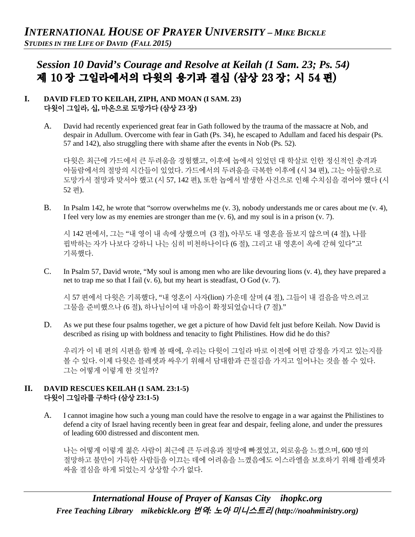# *Session 10 David's Courage and Resolve at Keilah (1 Sam. 23; Ps. 54)*  제 10 장 그일라에서의 다윗의 용기과 결심 (삼상 23 장; 시 54 편)

#### **I. DAVID FLED TO KEILAH, ZIPH, AND MOAN (I SAM. 23)** 다윗이 그일라**,** 십**,** 마온으로 도망가다 **(**삼상 **23** 장**)**

A. David had recently experienced great fear in Gath followed by the trauma of the massacre at Nob, and despair in Adullum. Overcome with fear in Gath (Ps. 34), he escaped to Adullam and faced his despair (Ps. 57 and 142), also struggling there with shame after the events in Nob (Ps. 52).

다윗은 최근에 가드에서 큰 두려움을 경험했고, 이후에 놉에서 있었던 대 학살로 인한 정신적인 충격과 아둘람에서의 절망의 시간들이 있었다. 가드에서의 두려움을 극복한 이후에 (시 34 편), 그는 아둘람으로 도망가서 절망과 맞서야 했고 (시 57, 142 편), 또한 놉에서 발생한 사건으로 인해 수치심을 겪어야 했다 (시 52 편).

B. In Psalm 142, he wrote that "sorrow overwhelms me (v. 3), nobody understands me or cares about me (v. 4), I feel very low as my enemies are stronger than me  $(v, 6)$ , and my soul is in a prison  $(v, 7)$ .

시 142 편에서, 그는 "내 영이 내 속에 상했으며 (3 절), 아무도 내 영혼을 돌보지 않으며 (4 절), 나를 핍박하는 자가 나보다 강하니 나는 심히 비천하나이다 (6 절), 그리고 내 영혼이 옥에 갇혀 있다"고 기록했다.

C. In Psalm 57, David wrote, "My soul is among men who are like devouring lions (v. 4), they have prepared a net to trap me so that I fail (v. 6), but my heart is steadfast, O God (v. 7).

시 57 편에서 다윗은 기록했다, "내 영혼이 사자(lion) 가운데 살며 (4 절), 그들이 내 걸음을 막으려고 그물을 준비했으나 (6 절), 하나님이여 내 마음이 확정되었습니다 (7 절)."

D. As we put these four psalms together, we get a picture of how David felt just before Keilah. Now David is described as rising up with boldness and tenacity to fight Philistines. How did he do this?

우리가 이 네 편의 시편을 함께 볼 때에, 우리는 다윗이 그일라 바로 이전에 어떤 감정을 가지고 있는지를 볼 수 있다. 이제 다윗은 블레셋과 싸우기 위해서 담대함과 끈질김을 가지고 일어나는 것을 볼 수 있다. 그는 어떻게 이렇게 한 것일까?

#### **II. DAVID RESCUES KEILAH (1 SAM. 23:1-5)** 다윗이 그일라를 구하다 **(**삼상 **23:1-5)**

A. I cannot imagine how such a young man could have the resolve to engage in a war against the Philistines to defend a city of Israel having recently been in great fear and despair, feeling alone, and under the pressures of leading 600 distressed and discontent men.

나는 어떻게 이렇게 젊은 사람이 최근에 큰 두려움과 절망에 빠졌었고, 외로움을 느꼈으며, 600 명의 절망하고 불만이 가득한 사람들을 이끄는 데에 어려움을 느꼈음에도 이스라엘을 보호하기 위해 블레셋과 싸울 결심을 하게 되었는지 상상할 수가 없다.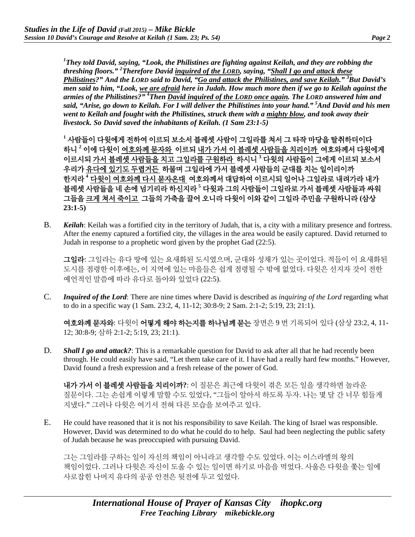*1 They told David, saying, "Look, the Philistines are fighting against Keilah, and they are robbing the threshing floors." 2 Therefore David inquired of the LORD, saying, "Shall I go and attack these Philistines?" And the LORD said to David, "Go and attack the Philistines, and save Keilah." 3 But David's men said to him, "Look, we are afraid here in Judah. How much more then if we go to Keilah against the armies of the Philistines?" 4 Then David inquired of the LORD once again. The LORD answered him and said, "Arise, go down to Keilah. For I will deliver the Philistines into your hand." 5 And David and his men went to Keilah and fought with the Philistines, struck them with a mighty blow, and took away their livestock. So David saved the inhabitants of Keilah. (1 Sam 23:1-5)*

**<sup>1</sup>** 사람들이 다윗에게 전하여 이르되 보소서 블레셋 사람이 그일라를 쳐서 그 타작 마당을 탈취하더이다 하니 **<sup>2</sup>** 이에 다윗이 여호와께 묻자와 이르되 내가 가서 이 블레셋 사람들을 치리이까 여호와께서 다윗에게 이르시되 가서 블레셋 사람들을 치고 그일라를 구원하라 하시니 **<sup>3</sup>** 다윗의 사람들이 그에게 이르되 보소서 우리가 유다에 있기도 두렵거든 하물며 그일라에 가서 블레셋 사람들의 군대를 치는 일이리이까 한지라 **<sup>4</sup>** 다윗이 여호와께 다시 묻자온대 여호와께서 대답하여 이르시되 일어나 그일라로 내려가라 내가 블레셋 사람들을 네 손에 넘기리라 하신지라 **<sup>5</sup>** 다윗과 그의 사람들이 그일라로 가서 블레셋 사람들과 싸워 그들을 크게 쳐서 죽이고 그들의 가축을 끌어 오니라 다윗이 이와 같이 그일라 주민을 구원하니라 **(**삼상 **23:1-5)**

B. *Keilah*: Keilah was a fortified city in the territory of Judah, that is, a city with a military presence and fortress. After the enemy captured a fortified city, the villages in the area would be easily captured. David returned to Judah in response to a prophetic word given by the prophet Gad (22:5).

그일라: 그일라는 유다 땅에 있는 요새화된 도시였으며, 군대와 성채가 있는 곳이었다. 적들이 이 요새화된 도시를 점령한 이후에는, 이 지역에 있는 마을들은 쉽게 점령될 수 밖에 없었다. 다윗은 선지자 갓이 전한 예언적인 말씀에 따라 유다로 돌아와 있었다 (22:5).

C. *Inquired of the Lord*: There are nine times where David is described as *inquiring of the Lord* regarding what to do in a specific way (1 Sam. 23:2, 4, 11-12; 30:8-9; 2 Sam. 2:1-2; 5:19, 23; 21:1).

여호와께 묻자와: 다윗이 어떻게 해야 하는지를 하나님께 묻는 장면은 9 번 기록되어 있다 (삼상 23:2, 4, 11- 12; 30:8-9; 삼하 2:1-2; 5:19, 23; 21:1).

D. *Shall I go and attack?*: This is a remarkable question for David to ask after all that he had recently been through. He could easily have said, "Let them take care of it. I have had a really hard few months." However, David found a fresh expression and a fresh release of the power of God.

내가 가서 이 블레셋 사람들을 치리이까**?**: 이 질문은 최근에 다윗이 겪은 모든 일을 생각하면 놀라운 질문이다. 그는 손쉽게 이렇게 말할 수도 있었다, "그들이 알아서 하도록 두자. 나는 몇 달 간 너무 힘들게 지냈다." 그러나 다윗은 여기서 전혀 다른 모습을 보여주고 있다.

E. He could have reasoned that it is not his responsibility to save Keilah. The king of Israel was responsible. However, David was determined to do what he could do to help. Saul had been neglecting the public safety of Judah because he was preoccupied with pursuing David.

그는 그일라를 구하는 일이 자신의 책임이 아니라고 생각할 수도 있었다. 이는 이스라엘의 왕의 책임이었다. 그러나 다윗은 자신이 도울 수 있는 일이면 하기로 마음을 먹었다. 사울은 다윗을 쫓는 일에 사로잡힌 나머지 유다의 공공 안전은 뒷전에 두고 있었다.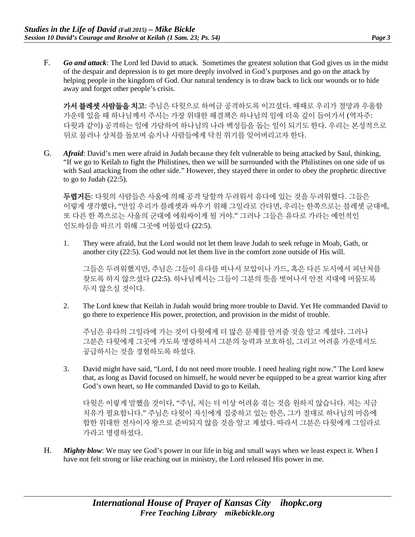F. *Go and attack*: The Lord led David to attack. Sometimes the greatest solution that God gives us in the midst of the despair and depression is to get more deeply involved in God's purposes and go on the attack by helping people in the kingdom of God. Our natural tendency is to draw back to lick our wounds or to hide away and forget other people's crisis.

가서 블레셋 사람들을 치고: 주님은 다윗으로 하여금 공격하도록 이끄셨다. 때때로 우리가 절망과 우울함 가운데 있을 때 하나님께서 주시는 가장 위대한 해결책은 하나님의 일에 더욱 깊이 들어가서 (역자주: 다윗과 같이) 공격하는 일에 가담하여 하나님의 나라 백성들을 돕는 일이 되기도 한다. 우리는 본성적으로 뒤로 물러나 상처를 돌보며 숨거나 사람들에게 닥친 위기를 잊어버리고자 한다.

G. *Afraid*: David's men were afraid in Judah because they felt vulnerable to being attacked by Saul, thinking, "If we go to Keilah to fight the Philistines, then we will be surrounded with the Philistines on one side of us with Saul attacking from the other side." However, they stayed there in order to obey the prophetic directive to go to Judah  $(22:5)$ .

두렵거든: 다윗의 사람들은 사울에 의해 공격 당할까 두려워서 유다에 있는 것을 두려워했다. 그들은 이렇게 생각했다, "만일 우리가 블레셋과 싸우기 위해 그일라로 간다면, 우리는 한쪽으로는 블레셋 군대에, 또 다른 한 쪽으로는 사울의 군대에 에워싸이게 될 거야." 그러나 그들은 유다로 가라는 예언적인 인도하심을 따르기 위해 그곳에 머물렀다 (22:5).

1. They were afraid, but the Lord would not let them leave Judah to seek refuge in Moab, Gath, or another city (22:5). God would not let them live in the comfort zone outside of His will.

그들은 두려워했지만, 주님은 그들이 유다를 떠나서 모압이나 가드, 혹은 다른 도시에서 피난처를 찾도록 하지 않으셨다 (22:5). 하나님께서는 그들이 그분의 뜻을 벗어나서 안전 지대에 머물도록 두지 않으실 것이다.

2. The Lord knew that Keilah in Judah would bring more trouble to David. Yet He commanded David to go there to experience His power, protection, and provision in the midst of trouble.

주님은 유다의 그일라에 가는 것이 다윗에게 더 많은 문제를 안겨줄 것을 알고 계셨다. 그러나 그분은 다윗에게 그곳에 가도록 명령하셔서 그분의 능력과 보호하심, 그리고 어려움 가운데서도 공급하시는 것을 경험하도록 하셨다.

3. David might have said, "Lord, I do not need more trouble. I need healing right now." The Lord knew that, as long as David focused on himself, he would never be equipped to be a great warrior king after God's own heart, so He commanded David to go to Keilah.

다윗은 이렇게 말했을 것이다, "주님, 저는 더 이상 어려움 겪는 것을 원하지 않습니다. 저는 지금 치유가 필요합니다." 주님은 다윗이 자신에게 집중하고 있는 한은, 그가 절대로 하나님의 마음에 합한 위대한 전사이자 왕으로 준비되지 않을 것을 알고 계셨다. 따라서 그분은 다윗에게 그일라로 가라고 명령하셨다.

H. *Mighty blow*: We may see God's power in our life in big and small ways when we least expect it. When I have not felt strong or like reaching out in ministry, the Lord released His power in me.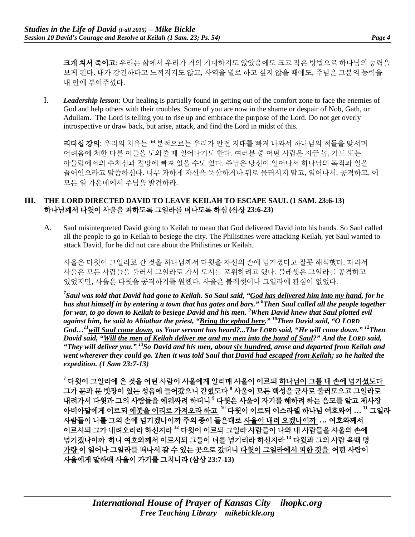크게 쳐서 죽이고: 우리는 삶에서 우리가 거의 기대하지도 않았음에도 크고 작은 방법으로 하나님의 능력을 보게 된다. 내가 강건하다고 느껴지지도 않고, 사역을 별로 하고 싶지 않을 때에도, 주님은 그분의 능력을 내 안에 부어주셨다.

I. *Leadership lesson*: Our healing is partially found in getting out of the comfort zone to face the enemies of God and help others with their troubles. Some of you are now in the shame or despair of Nob, Gath, or Adullam. The Lord is telling you to rise up and embrace the purpose of the Lord. Do not get overly introspective or draw back, but arise, attack, and find the Lord in midst of this.

리더십 강의: 우리의 치유는 부분적으로는 우리가 안전 지대를 빠져 나와서 하나님의 적들을 맞서며 어려움에 처한 다른 이들을 도와줄 때 일어나기도 한다. 여러분 중 어떤 사람은 지금 놉, 가드 또는 아둘람에서의 수치심과 절망에 빠져 있을 수도 있다. 주님은 당신이 일어나서 하나님의 목적과 일을 끌어안으라고 말씀하신다. 너무 과하게 자신을 묵상하거나 뒤로 물러서지 말고, 일어나서, 공격하고, 이 모든 일 가운데에서 주님을 발견하라.

#### **III. THE LORD DIRECTED DAVID TO LEAVE KEILAH TO ESCAPE SAUL (1 SAM. 23:6-13)** 하나님께서 다윗이 사울을 피하도록 그일라를 떠나도록 하심 **(**삼상 **23:6-23)**

A. Saul misinterpreted David going to Keilah to mean that God delivered David into his hands. So Saul called all the people to go to Keilah to besiege the city. The Philistines were attacking Keilah, yet Saul wanted to attack David, for he did not care about the Philistines or Keilah.

사울은 다윗이 그일라로 간 것을 하나님께서 다윗을 자신의 손에 넘기셨다고 잘못 해석했다. 따라서 사울은 모든 사람들을 불러서 그일라로 가서 도시를 포위하려고 했다. 블레셋은 그일라를 공격하고 있었지만, 사울은 다윗을 공격하기를 원했다. 사울은 블레셋이나 그일라에 관심이 없었다.

*7 Saul was told that David had gone to Keilah. So Saul said, "God has delivered him into my hand, for he has shut himself in by entering a town that has gates and bars." 8 Then Saul called all the people together for war, to go down to Keilah to besiege David and his men. 9 When David knew that Saul plotted evil against him, he said to Abiathar the priest, "Bring the ephod here." 10Then David said, "O LORD God…11will Saul come down, as Your servant has heard?...The LORD said, "He will come down." 12Then David said, "Will the men of Keilah deliver me and my men into the hand of Saul?" And the LORD said, "They will deliver you." 13So David and his men, about six hundred, arose and departed from Keilah and went wherever they could go. Then it was told Saul that David had escaped from Keilah; so he halted the expedition. (1 Sam 23:7-13)*

**<sup>7</sup>** 다윗이 그일라에 온 것을 어떤 사람이 사울에게 알리매 사울이 이르되 하나님이 그를 내 손에 넘기셨도다 그가 문과 문 빗장이 있는 성읍에 들어갔으니 갇혔도다 **<sup>8</sup>** 사울이 모든 백성을 군사로 불러모으고 그일라로 내려가서 다윗과 그의 사람들을 에워싸려 하더니 **<sup>9</sup>** 다윗은 사울이 자기를 해하려 하는 음모를 알고 제사장 아비아달에게 이르되 에봇을 이리로 가져오라 하고 **<sup>10</sup>** 다윗이 이르되 이스라엘 하나님 여호와여 **… <sup>11</sup>** 그일라 사람들이 나를 그의 손에 넘기겠나이까 주의 종이 들은대로 사울이 내려 오겠나이까 **…** 여호와께서 이르시되 그가 내려오리라 하신지라 **<sup>12</sup>** 다윗이 이르되 그일라 사람들이 나와 내 사람들을 사울의 손에 넘기겠나이까 하니 여호와께서 이르시되 그들이 너를 넘기리라 하신지라 **<sup>13</sup>** 다윗과 그의 사람 육백 명 가량 이 일어나 그일라를 떠나서 갈 수 있는 곳으로 갔더니 다윗이 그일라에서 피한 것을 어떤 사람이 사울에게 말하매 사울이 가기를 그치니라 **(**삼상 **23:7-13)**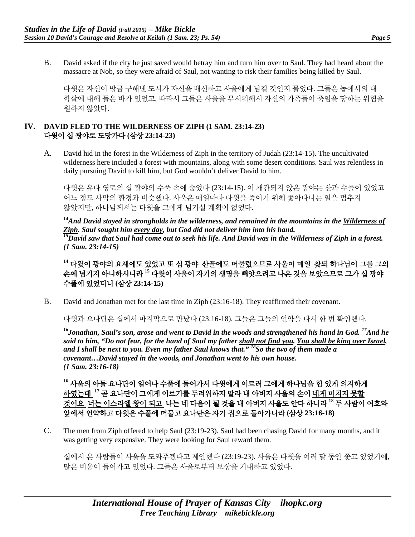B. David asked if the city he just saved would betray him and turn him over to Saul. They had heard about the massacre at Nob, so they were afraid of Saul, not wanting to risk their families being killed by Saul.

다윗은 자신이 방금 구해낸 도시가 자신을 배신하고 사울에게 넘길 것인지 물었다. 그들은 놉에서의 대 학살에 대해 들은 바가 있었고, 따라서 그들은 사울을 무서워해서 자신의 가족들이 죽임을 당하는 위험을 원하지 않았다.

#### **IV. DAVID FLED TO THE WILDERNESS OF ZIPH (1 SAM. 23:14-23)** 다윗이 십 광야로 도망가다 **(**삼상 **23:14-23)**

A. David hid in the forest in the Wilderness of Ziph in the territory of Judah (23:14-15). The uncultivated wilderness here included a forest with mountains, along with some desert conditions. Saul was relentless in daily pursuing David to kill him, but God wouldn't deliver David to him.

다윗은 유다 영토의 십 광야의 수풀 속에 숨었다 (23:14-15). 이 개간되지 않은 광야는 산과 수풀이 있었고 어느 정도 사막의 환경과 비슷했다. 사울은 매일마다 다윗을 죽이기 위해 쫓아다니는 일을 멈추지 않았지만, 하나님께서는 다윗을 그에게 넘기실 계획이 없었다.

*14And David stayed in strongholds in the wilderness, and remained in the mountains in the Wilderness of Ziph. Saul sought him every day, but God did not deliver him into his hand. 15David saw that Saul had come out to seek his life. And David was in the Wilderness of Ziph in a forest. (1 Sam. 23:14-15)*

**<sup>14</sup>** 다윗이 광야의 요새에도 있었고 또 십 광야 산골에도 머물렀으므로 사울이 매일 찾되 하나님이 그를 그의 손에 넘기지 아니하시니라 **<sup>15</sup>** 다윗이 사울이 자기의 생명을 빼앗으려고 나온 것을 보았으므로 그가 십 광야 수풀에 있었더니 **(**삼상 **23:14-15)**

B. David and Jonathan met for the last time in Ziph (23:16-18). They reaffirmed their covenant.

다윗과 요나단은 십에서 마지막으로 만났다 (23:16-18). 그들은 그들의 언약을 다시 한 번 확인했다.

*16Jonathan, Saul's son, arose and went to David in the woods and strengthened his hand in God. 17And he said to him, "Do not fear, for the hand of Saul my father shall not find you. You shall be king over Israel, and I shall be next to you. Even my father Saul knows that." 18So the two of them made a covenant…David stayed in the woods, and Jonathan went to his own house. (1 Sam. 23:16-18)*

**<sup>16</sup>** 사울의 아들 요나단이 일어나 수풀에 들어가서 다윗에게 이르러 그에게 하나님을 힘 있게 의지하게 하였는데 **<sup>17</sup>** 곧 요나단이 그에게 이르기를 두려워하지 말라 내 아버지 사울의 손이 네게 미치지 못할 것이요 너는 이스라엘 왕이 되고 나는 네 다음이 될 것을 내 아버지 사울도 안다 하니라 **<sup>18</sup>** 두 사람이 여호와 앞에서 언약하고 다윗은 수풀에 머물고 요나단은 자기 집으로 돌아가니라 **(**삼상 **23:16-18)**

C. The men from Ziph offered to help Saul (23:19-23). Saul had been chasing David for many months, and it was getting very expensive. They were looking for Saul reward them.

십에서 온 사람들이 사울을 도와주겠다고 제안했다 (23:19-23). 사울은 다윗을 여러 달 동안 쫓고 있었기에, 많은 비용이 들어가고 있었다. 그들은 사울로부터 보상을 기대하고 있었다.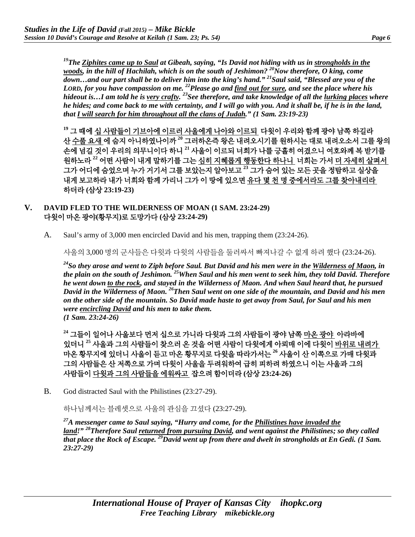*19The Ziphites came up to Saul at Gibeah, saying, "Is David not hiding with us in strongholds in the woods, in the hill of Hachilah, which is on the south of Jeshimon?* <sup>20</sup>Now therefore, O king, come *down…and our part shall be to deliver him into the king's hand." 21Saul said, "Blessed are you of the LORD, for you have compassion on me. 22Please go and find out for sure, and see the place where his hideout is…I am told he is very crafty. 23See therefore, and take knowledge of all the lurking places where he hides; and come back to me with certainty, and I will go with you. And it shall be, if he is in the land, that I will search for him throughout all the clans of Judah." (1 Sam. 23:19-23)*

**<sup>19</sup>** 그 때에 십 사람들이 기브아에 이르러 사울에게 나아와 이르되 다윗이 우리와 함께 광야 남쪽 하길라 산 수풀 요새 에 숨지 아니하였나이까 **<sup>20</sup>** 그러하온즉 왕은 내려오시기를 원하시는 대로 내려오소서 그를 왕의 손에 넘길 것이 우리의 의무니이다 하니 **<sup>21</sup>** 사울이 이르되 너희가 나를 긍휼히 여겼으니 여호와께 복 받기를 원하노라 **<sup>22</sup>** 어떤 사람이 내게 말하기를 그는 심히 지혜롭게 행동한다 하나니 너희는 가서 더 자세히 살펴서 그가 어디에 숨었으며 누가 거기서 그를 보았는지 알아보고 **<sup>23</sup>** 그가 숨어 있는 모든 곳을 정탐하고 실상을 내게 보고하라 내가 너희와 함께 가리니 그가 이 땅에 있으면 유다 몇 천 명 중에서라도 그를 찾아내리라 하더라 **(**삼상 **23:19-23)**

#### **V. DAVID FLED TO THE WILDERNESS OF MOAN (1 SAM. 23:24-29)** 다윗이 마온 광야**(**황무지**)**로 도망가다 **(**삼상 **23:24-29)**

A. Saul's army of 3,000 men encircled David and his men, trapping them (23:24-26).

사울의 3,000 명의 군사들은 다윗과 다윗의 사람들을 둘러싸서 빠져나갈 수 없게 하려 했다 (23:24-26).

*24So they arose and went to Ziph before Saul. But David and his men were in the Wilderness of Maon, in the plain on the south of Jeshimon. 25When Saul and his men went to seek him, they told David. Therefore he went down to the rock, and stayed in the Wilderness of Maon. And when Saul heard that, he pursued David in the Wilderness of Maon. 26Then Saul went on one side of the mountain, and David and his men on the other side of the mountain. So David made haste to get away from Saul, for Saul and his men were encircling David and his men to take them. (1 Sam. 23:24-26)*

**<sup>24</sup>** 그들이 일어나 사울보다 먼저 십으로 가니라 다윗과 그의 사람들이 광야 남쪽 마온 광야 아라바에 있더니 **<sup>25</sup>** 사울과 그의 사람들이 찾으러 온 것을 어떤 사람이 다윗에게 아뢰매 이에 다윗이 바위로 내려가 마온 황무지에 있더니 사울이 듣고 마온 황무지로 다윗을 따라가서는 **<sup>26</sup>** 사울이 산 이쪽으로 가매 다윗과 그의 사람들은 산 저쪽으로 가며 다윗이 사울을 두려워하여 급히 피하려 하였으니 이는 사울과 그의 사람들이 다윗과 그의 사람들을 에워싸고 잡으려 함이더라 **(**삼상 **23:24-26)**

B. God distracted Saul with the Philistines (23:27-29).

하나님께서는 블레셋으로 사울의 관심을 끄셨다 (23:27-29).

*27A messenger came to Saul saying, "Hurry and come, for the Philistines have invaded the land!" 28Therefore Saul returned from pursuing David, and went against the Philistines; so they called that place the Rock of Escape. 29David went up from there and dwelt in strongholds at En Gedi. (1 Sam. 23:27-29)*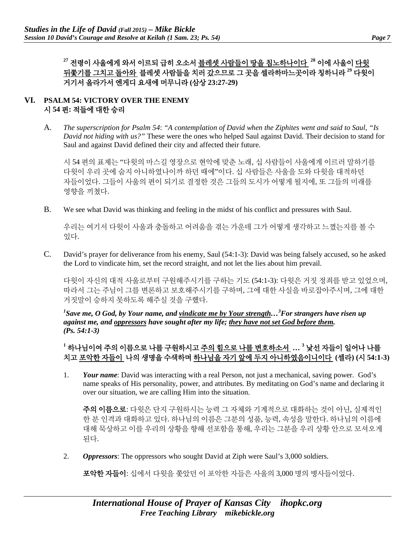**<sup>27</sup>** 전령이 사울에게 와서 이르되 급히 오소서 블레셋 사람들이 땅을 침노하나이다 **<sup>28</sup>** 이에 사울이 다윗 뒤쫓기를 그치고 돌아와 블레셋 사람들을 치러 갔으므로 그 곳을 셀라하마느곳이라 칭하니라 **<sup>29</sup>** 다윗이 거기서 올라가서 엔게디 요새에 머무니라 **(**삼상 **23:27-29)**

### **VI. PSALM 54: VICTORY OVER THE ENEMY**  시 **54** 편**:** 적들에 대한 승리

A. *The superscription for Psalm 54*: *"A contemplation of David when the Ziphites went and said to Saul, "Is David not hiding with us?"* These were the ones who helped Saul against David. Their decision to stand for Saul and against David defined their city and affected their future.

시 54 편의 표제는 "다윗의 마스길 영장으로 현악에 맞춘 노래, 십 사람들이 사울에게 이르러 말하기를 다윗이 우리 곳에 숨지 아니하였나이까 하던 때에"이다. 십 사람들은 사울을 도와 다윗을 대적하던 자들이었다. 그들이 사울의 편이 되기로 결정한 것은 그들의 도시가 어떻게 될지에, 또 그들의 미래를 영향을 끼쳤다.

B. We see what David was thinking and feeling in the midst of his conflict and pressures with Saul.

우리는 여기서 다윗이 사울과 충돌하고 어려움을 겪는 가운데 그가 어떻게 생각하고 느꼈는지를 볼 수 있다.

C. David's prayer for deliverance from his enemy, Saul (54:1-3): David was being falsely accused, so he asked the Lord to vindicate him, set the record straight, and not let the lies about him prevail.

다윗이 자신의 대적 사울로부터 구원해주시기를 구하는 기도 (54:1-3): 다윗은 거짓 정죄를 받고 있었으며, 따라서 그는 주님이 그를 변론하고 보호해주시기를 구하며, 그에 대한 사실을 바로잡아주시며, 그에 대한 거짓말이 승하지 못하도록 해주실 것을 구했다.

*1 Save me, O God, by Your name, and vindicate me by Your strength…<sup>3</sup> For strangers have risen up against me, and oppressors have sought after my life; they have not set God before them. (Ps. 54:1-3)*

## **<sup>1</sup>** 하나님이여 주의 이름으로 나를 구원하시고 주의 힘으로 나를 변호하소서 **… <sup>3</sup>** 낯선 자들이 일어나 나를 치고 포악한 자들이 나의 생명을 수색하며 하나님을 자기 앞에 두지 아니하였음이니이다 **(**셀라**) (**시 **54:1-3)**

1. *Your name*: David was interacting with a real Person, not just a mechanical, saving power. God's name speaks of His personality, power, and attributes. By meditating on God's name and declaring it over our situation, we are calling Him into the situation.

주의 이름으로: 다윗은 단지 구원하시는 능력 그 자체와 기계적으로 대화하는 것이 아닌, 실제적인 한 분 인격과 대화하고 있다. 하나님의 이름은 그분의 성품, 능력, 속성을 말한다. 하나님의 이름에 대해 묵상하고 이를 우리의 상황을 향해 선포함을 통해, 우리는 그분을 우리 상황 안으로 모셔오게 된다.

2. *Oppressors*: The oppressors who sought David at Ziph were Saul's 3,000 soldiers.

포악한 자들이: 십에서 다윗을 쫓았던 이 포악한 자들은 사울의 3,000 명의 병사들이었다.